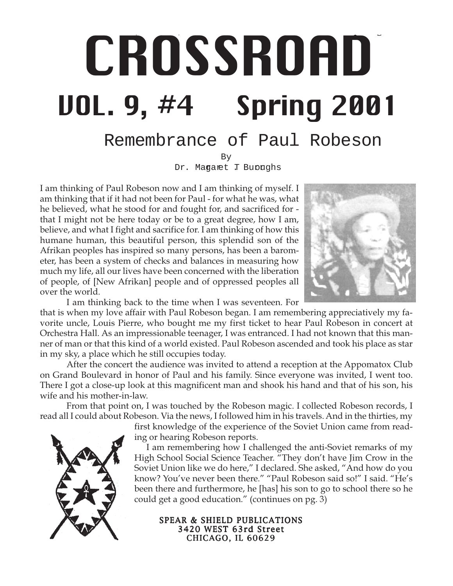# CROSSROAD /SSP, VOL. 9, #4 - 1 - Spring 2001 **CROSSROAD** VOL. 9, #4 Spring 2001

# Remembrance of Paul Robeson

By Dr. Magaret T Burnghs

I am thinking of Paul Robeson now and I am thinking of myself. I am thinking that if it had not been for Paul - for what he was, what he believed, what he stood for and fought for, and sacrificed for that I might not be here today or be to a great degree, how I am, believe, and what I fight and sacrifice for. I am thinking of how this humane human, this beautiful person, this splendid son of the Afrikan peoples has inspired so many persons, has been a barometer, has been a system of checks and balances in measuring how much my life, all our lives have been concerned with the liberation of people, of [New Afrikan] people and of oppressed peoples all over the world.



I am thinking back to the time when I was seventeen. For

that is when my love affair with Paul Robeson began. I am remembering appreciatively my favorite uncle, Louis Pierre, who bought me my first ticket to hear Paul Robeson in concert at Orchestra Hall. As an impressionable teenager, I was entranced. I had not known that this manner of man or that this kind of a world existed. Paul Robeson ascended and took his place as star in my sky, a place which he still occupies today.

After the concert the audience was invited to attend a reception at the Appomatox Club on Grand Boulevard in honor of Paul and his family. Since everyone was invited, I went too. There I got a close-up look at this magnificent man and shook his hand and that of his son, his wife and his mother-in-law.

From that point on, I was touched by the Robeson magic. I collected Robeson records, I read all I could about Robeson. Via the news, I followed him in his travels. And in the thirties, my

> first knowledge of the experience of the Soviet Union came from reading or hearing Robeson reports.

> I am remembering how I challenged the anti-Soviet remarks of my High School Social Science Teacher. "They don't have Jim Crow in the Soviet Union like we do here," I declared. She asked, "And how do you know? You've never been there." "Paul Robeson said so!" I said. "He's been there and furthermore, he [has] his son to go to school there so he could get a good education." (continues on pg. 3)



### SPEAR & SHIELD PUBLICATIONS 3420 WEST 63rd Street CHICAGO, IL 60629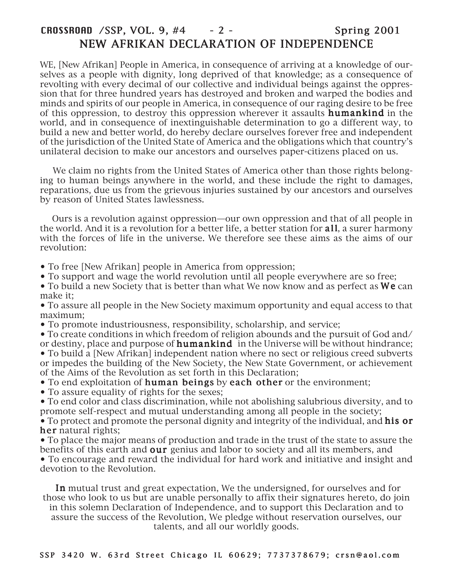# CROSSROAD / SSP, VOL. 9, #4 - 2 - Spring 2001 NEW AFRIKAN DECLARATION OF INDEPENDENCE

WE, [New Afrikan] People in America, in consequence of arriving at a knowledge of ourselves as a people with dignity, long deprived of that knowledge; as a consequence of revolting with every decimal of our collective and individual beings against the oppression that for three hundred years has destroyed and broken and warped the bodies and minds and spirits of our people in America, in consequence of our raging desire to be free of this oppression, to destroy this oppression wherever it assaults **humankind** in the world, and in consequence of inextinguishable determination to go a different way, to build a new and better world, do hereby declare ourselves forever free and independent of the jurisdiction of the United State of America and the obligations which that country's unilateral decision to make our ancestors and ourselves paper-citizens placed on us.

 We claim no rights from the United States of America other than those rights belonging to human beings anywhere in the world, and these include the right to damages, reparations, due us from the grievous injuries sustained by our ancestors and ourselves by reason of United States lawlessness.

 Ours is a revolution against oppression—our own oppression and that of all people in the world. And it is a revolution for a better life, a better station for **all**, a surer harmony with the forces of life in the universe. We therefore see these aims as the aims of our revolution:

- To free [New Afrikan] people in America from oppression;
- To support and wage the world revolution until all people everywhere are so free;
- To build a new Society that is better than what We now know and as perfect as We can make it;

• To assure all people in the New Society maximum opportunity and equal access to that maximum;

- To promote industriousness, responsibility, scholarship, and service;
- To create conditions in which freedom of religion abounds and the pursuit of God and/
- or destiny, place and purpose of **humankind** in the Universe will be without hindrance; • To build a [New Afrikan] independent nation where no sect or religious creed subverts or impedes the building of the New Society, the New State Government, or achievement of the Aims of the Revolution as set forth in this Declaration;
- To end exploitation of **human beings** by **each other** or the environment;
- To assure equality of rights for the sexes;

• To end color and class discrimination, while not abolishing salubrious diversity, and to promote self-respect and mutual understanding among all people in the society;

• To protect and promote the personal dignity and integrity of the individual, and **his or** her natural rights;

• To place the major means of production and trade in the trust of the state to assure the benefits of this earth and our genius and labor to society and all its members, and • To encourage and reward the individual for hard work and initiative and insight and devotion to the Revolution.

In mutual trust and great expectation, We the undersigned, for ourselves and for those who look to us but are unable personally to affix their signatures hereto, do join in this solemn Declaration of Independence, and to support this Declaration and to assure the success of the Revolution, We pledge without reservation ourselves, our talents, and all our worldly goods.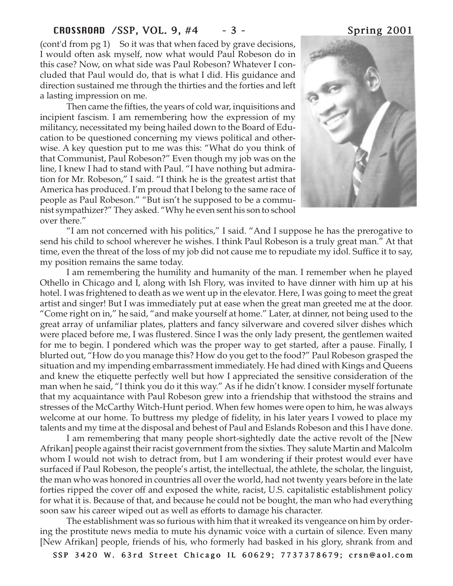# CROSSROAD /SSP, VOL. 9, #4 - 3 - Spring 2001

(cont'd from pg 1) So it was that when faced by grave decisions, I would often ask myself, now what would Paul Robeson do in this case? Now, on what side was Paul Robeson? Whatever I concluded that Paul would do, that is what I did. His guidance and direction sustained me through the thirties and the forties and left a lasting impression on me.

Then came the fifties, the years of cold war, inquisitions and incipient fascism. I am remembering how the expression of my militancy, necessitated my being hailed down to the Board of Education to be questioned concerning my views political and otherwise. A key question put to me was this: "What do you think of that Communist, Paul Robeson?" Even though my job was on the line, I knew I had to stand with Paul. "I have nothing but admiration for Mr. Robeson," I said. "I think he is the greatest artist that America has produced. I'm proud that I belong to the same race of people as Paul Robeson." "But isn't he supposed to be a communist sympathizer?" They asked. "Why he even sent his son to school over there."



"I am not concerned with his politics," I said. "And I suppose he has the prerogative to send his child to school wherever he wishes. I think Paul Robeson is a truly great man." At that time, even the threat of the loss of my job did not cause me to repudiate my idol. Suffice it to say, my position remains the same today.

I am remembering the humility and humanity of the man. I remember when he played Othello in Chicago and I, along with Ish Flory, was invited to have dinner with him up at his hotel. I was frightened to death as we went up in the elevator. Here, I was going to meet the great artist and singer! But I was immediately put at ease when the great man greeted me at the door. "Come right on in," he said, "and make yourself at home." Later, at dinner, not being used to the great array of unfamiliar plates, platters and fancy silverware and covered silver dishes which were placed before me, I was flustered. Since I was the only lady present, the gentlemen waited for me to begin. I pondered which was the proper way to get started, after a pause. Finally, I blurted out, "How do you manage this? How do you get to the food?" Paul Robeson grasped the situation and my impending embarrassment immediately. He had dined with Kings and Queens and knew the etiquette perfectly well but how I appreciated the sensitive consideration of the man when he said, "I think you do it this way." As if he didn't know. I consider myself fortunate that my acquaintance with Paul Robeson grew into a friendship that withstood the strains and stresses of the McCarthy Witch-Hunt period. When few homes were open to him, he was always welcome at our home. To buttress my pledge of fidelity, in his later years I vowed to place my talents and my time at the disposal and behest of Paul and Eslands Robeson and this I have done.

I am remembering that many people short-sightedly date the active revolt of the [New Afrikan] people against their racist government from the sixties. They salute Martin and Malcolm whom I would not wish to detract from, but I am wondering if their protest would ever have surfaced if Paul Robeson, the people's artist, the intellectual, the athlete, the scholar, the linguist, the man who was honored in countries all over the world, had not twenty years before in the late forties ripped the cover off and exposed the white, racist, U.S. capitalistic establishment policy for what it is. Because of that, and because he could not be bought, the man who had everything soon saw his career wiped out as well as efforts to damage his character.

The establishment was so furious with him that it wreaked its vengeance on him by ordering the prostitute news media to mute his dynamic voice with a curtain of silence. Even many [New Afrikan] people, friends of his, who formerly had basked in his glory, shrank from and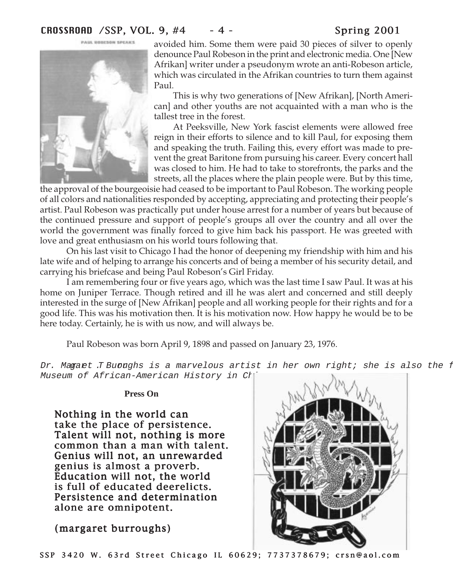

PAIN, UGBESON SPEAKS

avoided him. Some them were paid 30 pieces of silver to openly denounce Paul Robeson in the print and electronic media. One [New Afrikan] writer under a pseudonym wrote an anti-Robeson article, which was circulated in the Afrikan countries to turn them against Paul.

This is why two generations of [New Afrikan], [North American] and other youths are not acquainted with a man who is the tallest tree in the forest.

At Peeksville, New York fascist elements were allowed free reign in their efforts to silence and to kill Paul, for exposing them and speaking the truth. Failing this, every effort was made to prevent the great Baritone from pursuing his career. Every concert hall was closed to him. He had to take to storefronts, the parks and the streets, all the places where the plain people were. But by this time,

the approval of the bourgeoisie had ceased to be important to Paul Robeson. The working people of all colors and nationalities responded by accepting, appreciating and protecting their people's artist. Paul Robeson was practically put under house arrest for a number of years but because of the continued pressure and support of people's groups all over the country and all over the world the government was finally forced to give him back his passport. He was greeted with love and great enthusiasm on his world tours following that.

On his last visit to Chicago I had the honor of deepening my friendship with him and his late wife and of helping to arrange his concerts and of being a member of his security detail, and carrying his briefcase and being Paul Robeson's Girl Friday.

I am remembering four or five years ago, which was the last time I saw Paul. It was at his home on Juniper Terrace. Though retired and ill he was alert and concerned and still deeply interested in the surge of [New Afrikan] people and all working people for their rights and for a good life. This was his motivation then. It is his motivation now. How happy he would be to be here today. Certainly, he is with us now, and will always be.

Paul Robeson was born April 9, 1898 and passed on January 23, 1976.

Dr. Magart .T Burnghs is a marvelous artist in her own right; she is also the f Museum of African-American History in Ch

# **Press On**

Nothing in the world can take the place of persistence. Talent will not, nothing is more common than a man with talent. Genius will not, an unrewarded genius is almost a proverb. Education will not, the world is full of educated deerelicts. Persistence and determination alone are omnipotent.

(margaret burroughs)

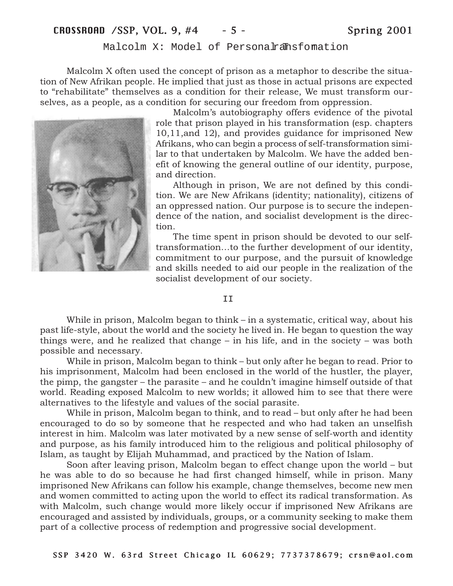# CROSSROAD / SSP, VOL. 9, #4 - 5 - Spring 2001

Malcolm X: Model of Personalransfomation

Malcolm X often used the concept of prison as a metaphor to describe the situation of New Afrikan people. He implied that just as those in actual prisons are expected to "rehabilitate" themselves as a condition for their release, We must transform ourselves, as a people, as a condition for securing our freedom from oppression.



Malcolm's autobiography offers evidence of the pivotal role that prison played in his transformation (esp. chapters 10,11,and 12), and provides guidance for imprisoned New Afrikans, who can begin a process of self-transformation similar to that undertaken by Malcolm. We have the added benefit of knowing the general outline of our identity, purpose, and direction.

Although in prison, We are not defined by this condition. We are New Afrikans (identity; nationality), citizens of an oppressed nation. Our purpose is to secure the independence of the nation, and socialist development is the direction.

The time spent in prison should be devoted to our selftransformation…to the further development of our identity, commitment to our purpose, and the pursuit of knowledge and skills needed to aid our people in the realization of the socialist development of our society.

T<sub>T</sub>

While in prison, Malcolm began to think – in a systematic, critical way, about his past life-style, about the world and the society he lived in. He began to question the way things were, and he realized that change – in his life, and in the society – was both possible and necessary.

While in prison, Malcolm began to think – but only after he began to read. Prior to his imprisonment, Malcolm had been enclosed in the world of the hustler, the player, the pimp, the gangster – the parasite – and he couldn't imagine himself outside of that world. Reading exposed Malcolm to new worlds; it allowed him to see that there were alternatives to the lifestyle and values of the social parasite.

While in prison, Malcolm began to think, and to read – but only after he had been encouraged to do so by someone that he respected and who had taken an unselfish interest in him. Malcolm was later motivated by a new sense of self-worth and identity and purpose, as his family introduced him to the religious and political philosophy of Islam, as taught by Elijah Muhammad, and practiced by the Nation of Islam.

Soon after leaving prison, Malcolm began to effect change upon the world – but he was able to do so because he had first changed himself, while in prison. Many imprisoned New Afrikans can follow his example, change themselves, become new men and women committed to acting upon the world to effect its radical transformation. As with Malcolm, such change would more likely occur if imprisoned New Afrikans are encouraged and assisted by individuals, groups, or a community seeking to make them part of a collective process of redemption and progressive social development.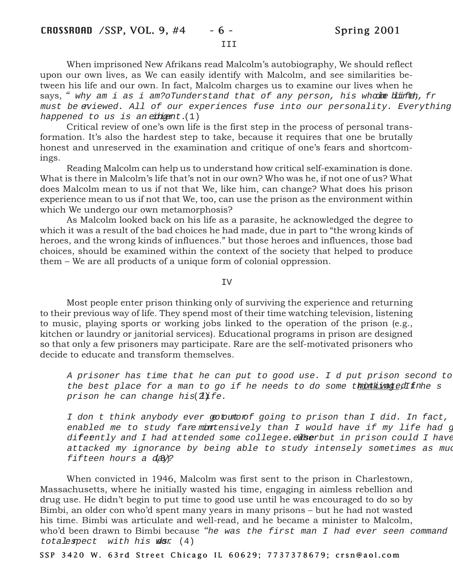When imprisoned New Afrikans read Malcolm's autobiography, We should reflect upon our own lives, as We can easily identify with Malcolm, and see similarities between his life and our own. In fact, Malcolm charges us to examine our lives when he says, " why am i as i am? oTunderstand that of any person, his whodme blinteh, fr must be eviewed. All of our experiences fuse into our personality. Everything happened to us is an  $e^{i\pi}$  (1)

Critical review of one's own life is the first step in the process of personal transformation. It's also the hardest step to take, because it requires that one be brutally honest and unreserved in the examination and critique of one's fears and shortcomings.

Reading Malcolm can help us to understand how critical self-examination is done. What is there in Malcolm's life that's not in our own? Who was he, if not one of us? What does Malcolm mean to us if not that We, like him, can change? What does his prison experience mean to us if not that We, too, can use the prison as the environment within which We undergo our own metamorphosis?

As Malcolm looked back on his life as a parasite, he acknowledged the degree to which it was a result of the bad choices he had made, due in part to "the wrong kinds of heroes, and the wrong kinds of influences." but those heroes and influences, those bad choices, should be examined within the context of the society that helped to produce them – We are all products of a unique form of colonial oppression.

### IV

Most people enter prison thinking only of surviving the experience and returning to their previous way of life. They spend most of their time watching television, listening to music, playing sports or working jobs linked to the operation of the prison (e.g., kitchen or laundry or janitorial services). Educational programs in prison are designed so that only a few prisoners may participate. Rare are the self-motivated prisoners who decide to educate and transform themselves.

A prisoner has time that he can put to good use. I d put prison second to the best place for a man to go if he needs to do some thout inaged finhe s prison he can change his  $2$ ife.

I don t think anybody ever got who f going to prison than I did. In fact, enabled me to study fare montensively than I would have if my life had g diferntly and I had attended some collegee.eWherbut in prison could I have attacked my ignorance by being able to study intensely sometimes as mud fifteen hours a day?

When convicted in 1946, Malcolm was first sent to the prison in Charlestown, Massachusetts, where he initially wasted his time, engaging in aimless rebellion and drug use. He didn't begin to put time to good use until he was encouraged to do so by Bimbi, an older con who'd spent many years in many prisons – but he had not wasted his time. Bimbi was articulate and well-read, and he became a minister to Malcolm, who'd been drawn to Bimbi because "he was the first man I had ever seen command totalespect with his  $\phi$ s (4)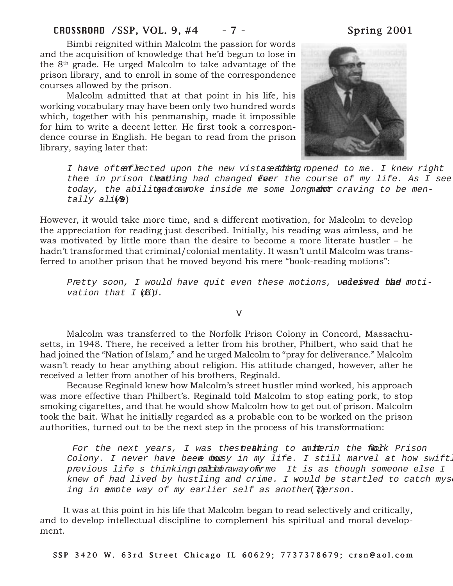# CROSSROAD /SSP, VOL. 9, #4 - 7 - Spring 2001

Bimbi reignited within Malcolm the passion for words and the acquisition of knowledge that he'd begun to lose in the 8th grade. He urged Malcolm to take advantage of the prison library, and to enroll in some of the correspondence courses allowed by the prison.

Malcolm admitted that at that point in his life, his working vocabulary may have been only two hundred words which, together with his penmanship, made it impossible for him to write a decent letter. He first took a correspondence course in English. He began to read from the prison library, saying later that:



I have often fhected upon the new vistase adming ropened to me. I knew right ther in prison theating had changed for the course of my life. As I see today, the abilitead cawoke inside me some long mator craving to be men $tally$   $ali$  $(b)$ 

However, it would take more time, and a different motivation, for Malcolm to develop the appreciation for reading just described. Initially, his reading was aimless, and he was motivated by little more than the desire to become a more literate hustler – he hadn't transformed that criminal/colonial mentality. It wasn't until Malcolm was transferred to another prison that he moved beyond his mere "book-reading motions":

Pretty soon, I would have quit even these motions, undessed the motivation that  $I$   $\partial \tilde{d}d$ .

V

Malcolm was transferred to the Norfolk Prison Colony in Concord, Massachusetts, in 1948. There, he received a letter from his brother, Philbert, who said that he had joined the "Nation of Islam," and he urged Malcolm to "pray for deliverance." Malcolm wasn't ready to hear anything about religion. His attitude changed, however, after he received a letter from another of his brothers, Reginald.

Because Reginald knew how Malcolm's street hustler mind worked, his approach was more effective than Philbert's. Reginald told Malcolm to stop eating pork, to stop smoking cigarettes, and that he would show Malcolm how to get out of prison. Malcolm took the bait. What he initially regarded as a probable con to be worked on the prison authorities, turned out to be the next step in the process of his transformation:

For the next years, I was thest nearing to a miterin the Nork Prison Colony. I never have been monsy in my life. I still marvel at how swift. previous life s thinking patter away of the It is as though someone else I knew of had lived by hustling and crime. I would be startled to catch mys ing in annote way of my earlier self as another person.

It was at this point in his life that Malcolm began to read selectively and critically, and to develop intellectual discipline to complement his spiritual and moral development.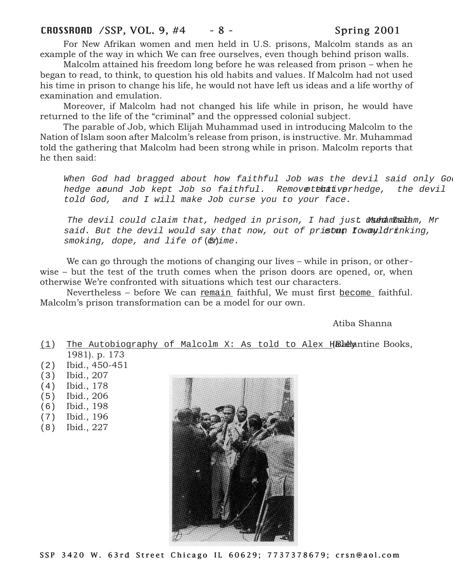# CROSSROAD / SSP, VOL. 9, #4 - 8 - Spring 2001

For New Afrikan women and men held in U.S. prisons, Malcolm stands as an example of the way in which We can free ourselves, even though behind prison walls.

Malcolm attained his freedom long before he was released from prison – when he began to read, to think, to question his old habits and values. If Malcolm had not used his time in prison to change his life, he would not have left us ideas and a life worthy of examination and emulation.

Moreover, if Malcolm had not changed his life while in prison, he would have returned to the life of the "criminal" and the oppressed colonial subject.

The parable of Job, which Elijah Muhammad used in introducing Malcolm to the Nation of Islam soon after Malcolm's release from prison, is instructive. Mr. Muhammad told the gathering that Malcolm had been strong while in prison. Malcolm reports that he then said:

When God had bragged about how faithful Job was the devil said only God hedge around Job kept Job so faithful. Removetthat verhedge, the devil told God, and I will make Job curse you to your face.

The devil could claim that, hedged in prison, I had just Warammadam, Mr said. But the devil would say that now, out of prisoun fowayldrinking,  $smoking,$  dope, and life of  $(\&$  time.

We can go through the motions of changing our lives – while in prison, or otherwise – but the test of the truth comes when the prison doors are opened, or, when otherwise We're confronted with situations which test our characters.

Nevertheless – before We can remain faithful, We must first become faithful. Malcolm's prison transformation can be a model for our own.

Atiba Shanna

 $(1)$  The Autobiography of Malcolm X: As told to Alex Hale patine Books, 1981). p. 173

- (2) Ibid., 450-451
- (3) Ibid., 207
- (4) Ibid., 178
- (5) Ibid., 206
- (6) Ibid., 198
- (7) Ibid., 196
- (8) Ibid., 227

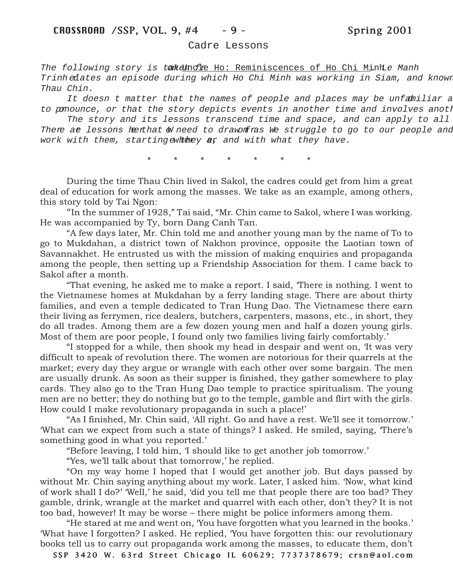### Cadre Lessons

The following story is tarkeling the: Reminiscences of Ho Chi Minh . Manh Trinh relates an episode during which Ho Chi Minh was working in Siam, and known Thau Chin.

It doesn t matter that the names of people and places may be unfamiliar a to pomounce, or that the story depicts events in another time and involves anoth

The story and its lessons transcend time and space, and can apply to all There ar lessons her that We need to draw fras We struggle to go to our people and work with them, starting ewhere  $\mathbf{r}$  and with what they have.

\*\*\*\*\*\*\*

During the time Thau Chin lived in Sakol, the cadres could get from him a great deal of education for work among the masses. We take as an example, among others, this story told by Tai Ngon:

"In the summer of 1928," Tai said, "Mr. Chin came to Sakol, where I was working. He was accompanied by Ty, born Dang Canh Tan.

"A few days later, Mr. Chin told me and another young man by the name of To to go to Mukdahan, a district town of Nakhon province, opposite the Laotian town of Savannakhet. He entrusted us with the mission of making enquiries and propaganda among the people, then setting up a Friendship Association for them. I came back to Sakol after a month.

"That evening, he asked me to make a report. I said, 'There is nothing. I went to the Vietnamese homes at Mukdahan by a ferry landing stage. There are about thirty families, and even a temple dedicated to Tran Hung Dao. The Vietnamese there earn their living as ferrymen, rice dealers, butchers, carpenters, masons, etc., in short, they do all trades. Among them are a few dozen young men and half a dozen young girls. Most of them are poor people, I found only two families living fairly comfortably.'

"I stopped for a while, then shook my head in despair and went on, 'It was very difficult to speak of revolution there. The women are notorious for their quarrels at the market; every day they argue or wrangle with each other over some bargain. The men are usually drunk. As soon as their supper is finished, they gather somewhere to play cards. They also go to the Tran Hung Dao temple to practice spiritualism. The young men are no better; they do nothing but go to the temple, gamble and flirt with the girls. How could I make revolutionary propaganda in such a place!'

"As I finished, Mr. Chin said, 'All right. Go and have a rest. We'll see it tomorrow.' 'What can we expect from such a state of things? I asked. He smiled, saying, 'There's something good in what you reported.'

"Before leaving, I told him, 'I should like to get another job tomorrow.'

"Yes, we'll talk about that tomorrow,' he replied.

"On my way home I hoped that I would get another job. But days passed by without Mr. Chin saying anything about my work. Later, I asked him. 'Now, what kind of work shall I do?' 'Well,' he said, 'did you tell me that people there are too bad? They gamble, drink, wrangle at the market and quarrel with each other, don't they? It is not too bad, however! It may be worse – there might be police informers among them.

"He stared at me and went on, 'You have forgotten what you learned in the books.' 'What have I forgotten? I asked. He replied, 'You have forgotten this: our revolutionary books tell us to carry out propaganda work among the masses, to educate them, don't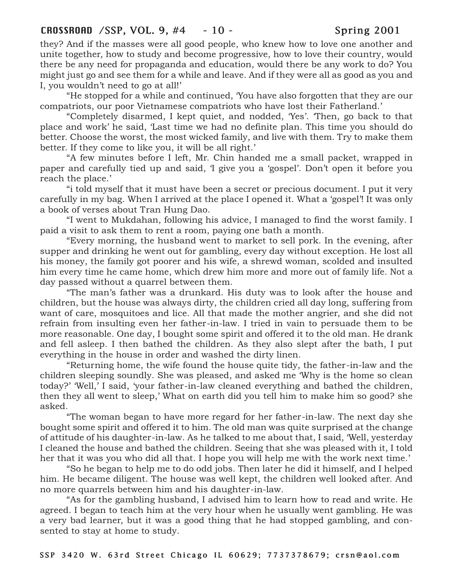# CROSSROAD /SSP, VOL. 9, #4 - 10 - Spring 2001

they? And if the masses were all good people, who knew how to love one another and unite together, how to study and become progressive, how to love their country, would there be any need for propaganda and education, would there be any work to do? You might just go and see them for a while and leave. And if they were all as good as you and I, you wouldn't need to go at all!'

"He stopped for a while and continued, 'You have also forgotten that they are our compatriots, our poor Vietnamese compatriots who have lost their Fatherland.'

"Completely disarmed, I kept quiet, and nodded, 'Yes'. 'Then, go back to that place and work' he said, 'Last time we had no definite plan. This time you should do better. Choose the worst, the most wicked family, and live with them. Try to make them better. If they come to like you, it will be all right.'

"A few minutes before I left, Mr. Chin handed me a small packet, wrapped in paper and carefully tied up and said, 'I give you a 'gospel'. Don't open it before you reach the place.'

"i told myself that it must have been a secret or precious document. I put it very carefully in my bag. When I arrived at the place I opened it. What a 'gospel'! It was only a book of verses about Tran Hung Dao.

"I went to Mukdahan, following his advice, I managed to find the worst family. I paid a visit to ask them to rent a room, paying one bath a month.

"Every morning, the husband went to market to sell pork. In the evening, after supper and drinking he went out for gambling, every day without exception. He lost all his money, the family got poorer and his wife, a shrewd woman, scolded and insulted him every time he came home, which drew him more and more out of family life. Not a day passed without a quarrel between them.

"The man's father was a drunkard. His duty was to look after the house and children, but the house was always dirty, the children cried all day long, suffering from want of care, mosquitoes and lice. All that made the mother angrier, and she did not refrain from insulting even her father-in-law. I tried in vain to persuade them to be more reasonable. One day, I bought some spirit and offered it to the old man. He drank and fell asleep. I then bathed the children. As they also slept after the bath, I put everything in the house in order and washed the dirty linen.

"Returning home, the wife found the house quite tidy, the father-in-law and the children sleeping soundly. She was pleased, and asked me 'Why is the home so clean today?' 'Well,' I said, 'your father-in-law cleaned everything and bathed the children, then they all went to sleep,' What on earth did you tell him to make him so good? she asked.

"The woman began to have more regard for her father-in-law. The next day she bought some spirit and offered it to him. The old man was quite surprised at the change of attitude of his daughter-in-law. As he talked to me about that, I said, 'Well, yesterday I cleaned the house and bathed the children. Seeing that she was pleased with it, I told her that it was you who did all that. I hope you will help me with the work next time.'

"So he began to help me to do odd jobs. Then later he did it himself, and I helped him. He became diligent. The house was well kept, the children well looked after. And no more quarrels between him and his daughter-in-law.

"As for the gambling husband, I advised him to learn how to read and write. He agreed. I began to teach him at the very hour when he usually went gambling. He was a very bad learner, but it was a good thing that he had stopped gambling, and consented to stay at home to study.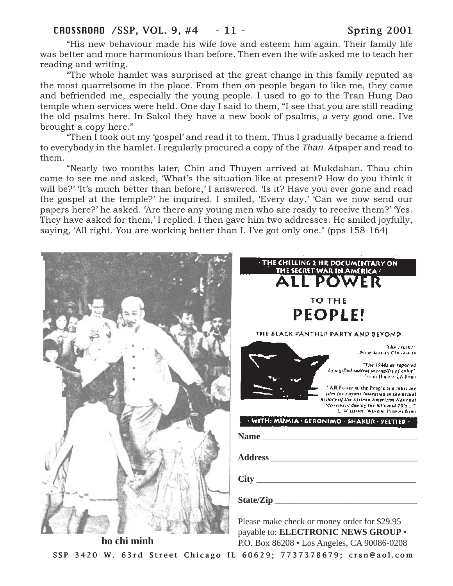# CROSSROAD /SSP, VOL. 9, #4 - 11 - Spring 2001

"His new behaviour made his wife love and esteem him again. Their family life was better and more harmonious than before. Then even the wife asked me to teach her reading and writing.

"The whole hamlet was surprised at the great change in this family reputed as the most quarrelsome in the place. From then on people began to like me, they came and befriended me, especially the young people. I used to go to the Tran Hung Dao temple when services were held. One day I said to them, "I see that you are still reading the old psalms here. In Sakol they have a new book of psalms, a very good one. I've brought a copy here."

"Then I took out my 'gospel' and read it to them. Thus I gradually became a friend to everybody in the hamlet. I regularly procured a copy of the Than At paper and read to them.

"Nearly two months later, Chin and Thuyen arrived at Mukdahan. Thau chin came to see me and asked, 'What's the situation like at present? How do you think it will be?' It's much better than before,' I answered. 'Is it? Have you ever gone and read the gospel at the temple?' he inquired. I smiled, 'Every day.' 'Can we now send our papers here?' he asked. 'Are there any young men who are ready to receive them?' 'Yes. They have asked for them,' I replied. I then gave him two addresses. He smiled joyfully, saying, 'All right. You are working better than I. I've got only one." (pps 158-164)



SSP 3420 W. 63rd Street Chicago IL 60629; 7737378679; crsn@aol.com **ho chi minh** P.O. Box 86208 • Los Angeles, CA 90086-0208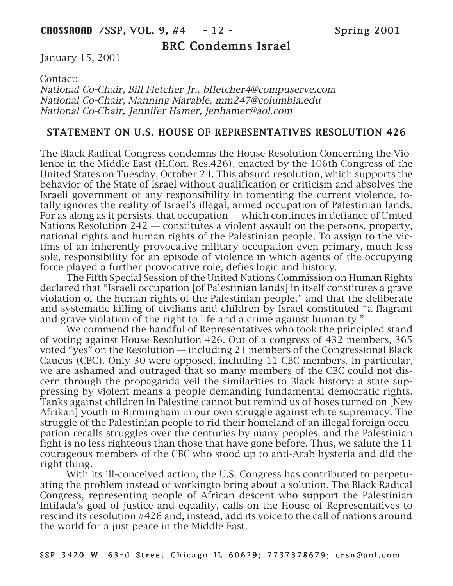# BRC Condemns Israel

January 15, 2001

Contact:

National Co-Chair, Bill Fletcher Jr., bfletcher4@compuserve.com National Co-Chair, Manning Marable, mm247@columbia.edu National Co-Chair, Jennifer Hamer, jenhamer@aol.com

# STATEMENT ON U.S. HOUSE OF REPRESENTATIVES RESOLUTION 426

The Black Radical Congress condemns the House Resolution Concerning the Violence in the Middle East (H.Con. Res.426), enacted by the 106th Congress of the United States on Tuesday, October 24. This absurd resolution, which supports the behavior of the State of Israel without qualification or criticism and absolves the Israeli government of any responsibility in fomenting the current violence, totally ignores the reality of Israel's illegal, armed occupation of Palestinian lands. For as along as it persists, that occupation — which continues in defiance of United Nations Resolution 242 — constitutes a violent assault on the persons, property, national rights and human rights of the Palestinian people. To assign to the victims of an inherently provocative military occupation even primary, much less sole, responsibility for an episode of violence in which agents of the occupying force played a further provocative role, defies logic and history.

The Fifth Special Session of the United Nations Commission on Human Rights declared that "Israeli occupation [of Palestinian lands] in itself constitutes a grave violation of the human rights of the Palestinian people," and that the deliberate and systematic killing of civilians and children by Israel constituted "a flagrant and grave violation of the right to life and a crime against humanity."

We commend the handful of Representatives who took the principled stand of voting against House Resolution 426. Out of a congress of 432 members, 365 voted "yes" on the Resolution — including 21 members of the Congressional Black Caucus (CBC). Only 30 were opposed, including 11 CBC members. In particular, we are ashamed and outraged that so many members of the CBC could not discern through the propaganda veil the similarities to Black history: a state suppressing by violent means a people demanding fundamental democratic rights. Tanks against children in Palestine cannot but remind us of hoses turned on [New Afrikan] youth in Birmingham in our own struggle against white supremacy. The struggle of the Palestinian people to rid their homeland of an illegal foreign occupation recalls struggles over the centuries by many peoples, and the Palestinian fight is no less righteous than those that have gone before. Thus, we salute the 11 courageous members of the CBC who stood up to anti-Arab hysteria and did the right thing.

With its ill-conceived action, the U.S. Congress has contributed to perpetuating the problem instead of workingto bring about a solution. The Black Radical Congress, representing people of African descent who support the Palestinian Intifada's goal of justice and equality, calls on the House of Representatives to rescind its resolution #426 and, instead, add its voice to the call of nations around the world for a just peace in the Middle East.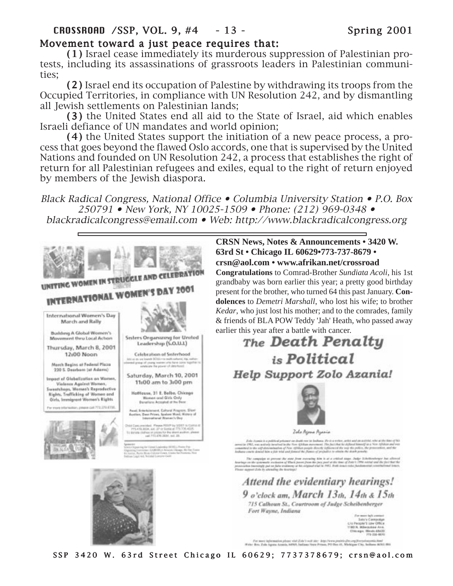# Movement toward a just peace requires that:

(1 ) Israel cease immediately its murderous suppression of Palestinian pro- (1) tests, including its assassinations of grassroots leaders in Palestinian communities;

(2 ) Israel end its occupation of Palestine by withdrawing its troops from the (2) Occupied Territories, in compliance with UN Resolution 242, and by dismantling all Jewish settlements on Palestinian lands;

(3 ) the United States end all aid to the State of Israel, aid which enables (3) Israeli defiance of UN mandates and world opinion;

(4) the United States support the initiation of a new peace process, a process that goes beyond the flawed Oslo accords, one that is supervised by the United Nations and founded on UN Resolution 242, a process that establishes the right of return for all Palestinian refugees and exiles, equal to the right of return enjoyed by members of the Jewish diaspora.

Black Radical Congress, National Office • Columbia University Station • P.O. Box 250791 • New York, NY 10025-1509 • Phone: (212) 969-0348 • blackradicalcongress@email.com • Web: http://www.blackradicalcongress.org

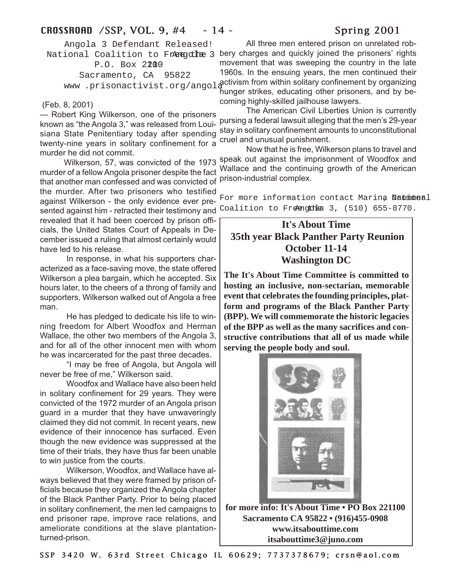# CROSSROAD / SSP, VOL. 9, #4 - 14 - Spring 2001

Angola 3 Defendant Released! P.O. Box 2200 Sacramento, CA 95822

# (Feb. 8, 2001)

— Robert King Wilkerson, one of the prisoners known as "the Angola 3," was released from Louisiana State Penitentiary today after spending twenty-nine years in solitary confinement for a murder he did not commit.

murder of a fellow Angola prisoner despite the fact that another man confessed and was convicted of the murder. After two prisoners who testified against Wilkerson - the only evidence ever presented against him - retracted their testimony and revealed that it had been coerced by prison officials, the United States Court of Appeals in December issued a ruling that almost certainly would have led to his release.

In response, in what his supporters characterized as a face-saving move, the state offered Wilkerson a plea bargain, which he accepted. Six hours later, to the cheers of a throng of family and supporters, Wilkerson walked out of Angola a free man.

He has pledged to dedicate his life to winning freedom for Albert Woodfox and Herman Wallace, the other two members of the Angola 3, and for all of the other innocent men with whom he was incarcerated for the past three decades.

"I may be free of Angola, but Angola will never be free of me," Wilkerson said.

Woodfox and Wallace have also been held in solitary confinement for 29 years. They were convicted of the 1972 murder of an Angola prison guard in a murder that they have unwaveringly claimed they did not commit. In recent years, new evidence of their innocence has surfaced. Even though the new evidence was suppressed at the time of their trials, they have thus far been unable to win justice from the courts.

Wilkerson, Woodfox, and Wallace have always believed that they were framed by prison officials because they organized the Angola chapter of the Black Panther Party. Prior to being placed in solitary confinement, the men led campaigns to end prisoner rape, improve race relations, and ameliorate conditions at the slave plantationturned-prison.

National Coalition to Fr<del>eegolhe</del> 3 bery charges and quickly joined the prisoners' rights www .prisonactivist.org/angolactivism from within solitary confinement by organizing All three men entered prison on unrelated robmovement that was sweeping the country in the late 1960s. In the ensuing years, the men continued their hunger strikes, educating other prisoners, and by becoming highly-skilled jailhouse lawyers.

> The American Civil Liberties Union is currently pursing a federal lawsuit alleging that the men's 29-year stay in solitary confinement amounts to unconstitutional cruel and unusual punishment.

 Wilkerson, 57, was convicted of the 1973 speak out against the imprisonment of Woodfox and Now that he is free, Wilkerson plans to travel and Wallace and the continuing growth of the American prison-industrial complex.

> For more information contact Marina National Coalition to Freengthe  $3,$  (510) 655-8770.

# **It's About Time 35th year Black Panther Party Reunion October 11-14 Washington DC**

**The It's About Time Committee is committed to hosting an inclusive, non-sectarian, memorable event that celebrates the founding principles, platform and programs of the Black Panther Party (BPP). We will commemorate the historic legacies of the BPP as well as the many sacrifices and constructive contributions that all of us made while serving the people body and soul.**



**for more info: It's About Time • PO Box 221100 Sacramento CA 95822 • (916)455-0908 www.itsabouttime.com itsabouttime3@juno.com**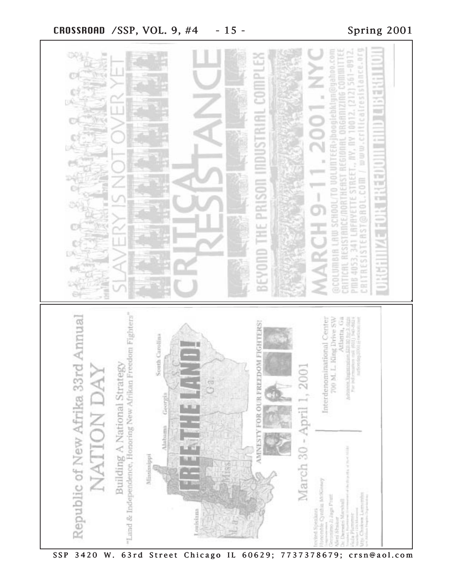

SSP 3420 W. 63rd Street Chicago IL 60629; 7737378679; crsn@aol.com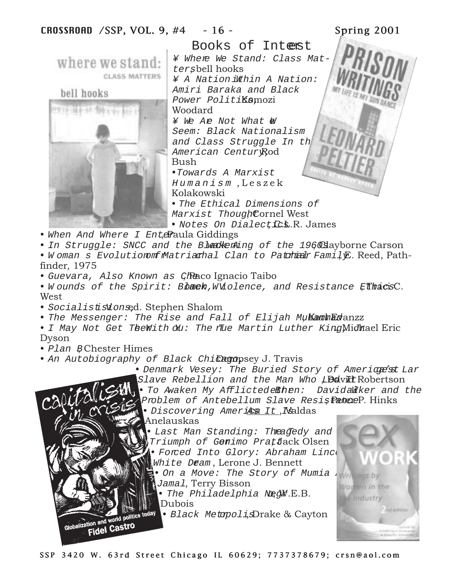Books of Interest ¥ Where We Stand: Class Matwhere we stand: tersbell hooks **CLASS MATTERS** ¥ A Nation Within A Nation: Amiri Baraka and Black bell hooks Power Politi**Komozi** Woodard ¥ We Are Not What & Seem: Black Nationalism and Class Struggle In th American CenturyRod Bush •Towards A Marxist Humanism ,Leszek Kolakowski • The Ethical Dimensions of Marxist ThoughCornel West • Notes On Dialect C.L.R. James • When And Where  $I$  Enter Raula Giddings • In Struggle: SNCC and the Bleakenling of the 1960s alayborne Carson

- W oman s Evolution on fundatriarhal Clan to Patchian Family, Reed, Pathfinder, 1975
- Guevara, Also Known as Cheaco Ignacio Taibo
- Wounds of the Spirit: Bback, W Molence, and Resistance Effinacis C. West
- Socialististionsed. Stephen Shalom
- The Messenger: The Rise and Fall of Elijah MukamhEdanzz
- I May Not Get The With  $\delta u$ : The flue Martin Luther King Michael Eric Dyson
- Plan BChester Himes

tion and world point

- An Autobiography of Black Chiclempsey J. Travis
	- Denmark Vesey: The Buried Story of Americets Lar
	- Slave Rebellion and the Man Who L**David** Robertson
	- To Awaken My Afflicted ekhen: DavidaWiker and the Problem of Antebellum Slave Resistence P. Hinks

Nod

ten in the Industry

- Discovering Ameries It , Naldas
	- Anelauskas
	- Last Man Standing: The adedy and Triumph of Gemimo PratJack Olsen • Forced Into Glory: Abraham Linco White Deam, Lerone J. Bennett
		- On a Move: The Story of Mumia Abumos Jamal, Terry Bisson
			- The Philadelphia Negl.E.B. Dubois
			- Black Metopoli,sDrake & Cayton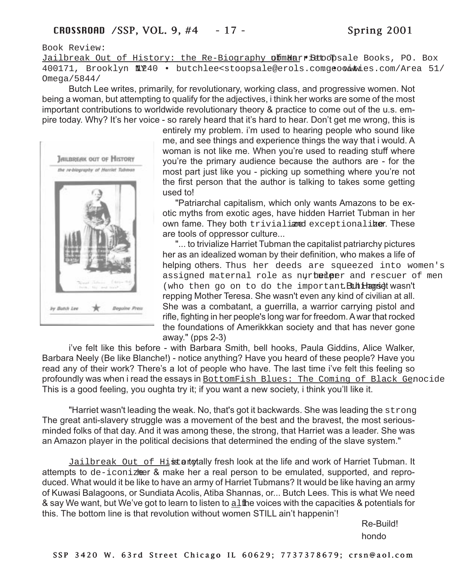Book Review:

Jailbreak Out of History: the Re-Biography of Harrist Stoopsale Books, PO. Box 400171, Brooklyn N1240 • butchlee<stoopsale@erols.comgeocities.com/Area 51/ Omega/5844/

Butch Lee writes, primarily, for revolutionary, working class, and progressive women. Not being a woman, but attempting to qualify for the adjectives, i think her works are some of the most important contributions to worldwide revolutionary theory & practice to come out of the u.s. empire today. Why? It's her voice - so rarely heard that it's hard to hear. Don't get me wrong, this is



entirely my problem. i'm used to hearing people who sound like me, and see things and experience things the way that i would. A woman is not like me. When you're used to reading stuff where you're the primary audience because the authors are - for the most part just like you - picking up something where you're not the first person that the author is talking to takes some getting used to!

"Patriarchal capitalism, which only wants Amazons to be exotic myths from exotic ages, have hidden Harriet Tubman in her own fame. They both trivialianed exceptionaliber. These are tools of oppressor culture...

"... to trivialize Harriet Tubman the capitalist patriarchy pictures her as an idealized woman by their definition, who makes a life of helping others. Thus her deeds are squeezed into women's assigned maternal role as nurhum hear and rescuer of men (who then go on to do the important  $\text{But}$  Harried wasn't repping Mother Teresa. She wasn't even any kind of civilian at all. She was a combatant, a guerrilla, a warrior carrying pistol and rifle, fighting in her people's long war for freedom. A war that rocked the foundations of Amerikkkan society and that has never gone away." (pps 2-3)

i've felt like this before - with Barbara Smith, bell hooks, Paula Giddins, Alice Walker, Barbara Neely (Be like Blanche!) - notice anything? Have you heard of these people? Have you read any of their work? There's a lot of people who have. The last time i've felt this feeling so profoundly was when i read the essays in **BottomFish Blues: The Coming of Black Genocide** This is a good feeling, you oughta try it; if you want a new society, i think you'll like it.

"Harriet wasn't leading the weak. No, that's got it backwards. She was leading the strong. The great anti-slavery struggle was a movement of the best and the bravest, the most seriousminded folks of that day. And it was among these, the strong, that Harriet was a leader. She was an Amazon player in the political decisions that determined the ending of the slave system."

Jailbreak Out of Histor totally fresh look at the life and work of Harriet Tubman. It attempts to de-iconizer & make her a real person to be emulated, supported, and reproduced. What would it be like to have an army of Harriet Tubmans? It would be like having an army of Kuwasi Balagoons, or Sundiata Acolis, Atiba Shannas, or... Butch Lees. This is what We need & say We want, but We've got to learn to listen to  $a1$  the voices with the capacities & potentials for this. The bottom line is that revolution without women STILL ain't happenin'!

> Re-Build! hondo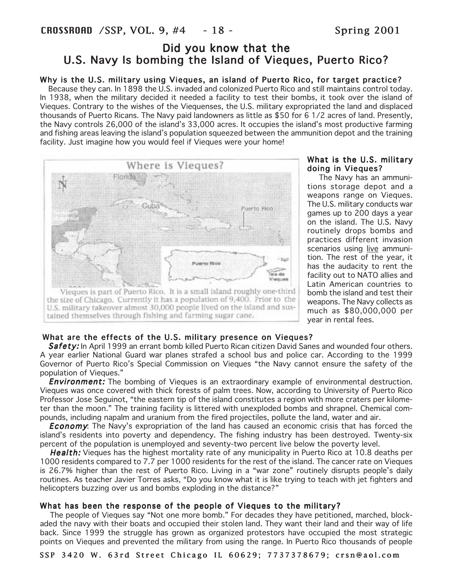# Did you know that the U.S. Navy Is bombing the Island of Vieques, Puerto Rico?

# Why is the U.S. military using Vieques, an island of Puerto Rico, for target practice?

 Because they can. In 1898 the U.S. invaded and colonized Puerto Rico and still maintains control today. In 1938, when the military decided it needed a facility to test their bombs, it took over the island of Vieques. Contrary to the wishes of the Viequenses, the U.S. military expropriated the land and displaced thousands of Puerto Ricans. The Navy paid landowners as little as \$50 for 6 1/2 acres of land. Presently, the Navy controls 26,000 of the island's 33,000 acres. It occupies the island's most productive farming and fishing areas leaving the island's population squeezed between the ammunition depot and the training facility. Just imagine how you would feel if Vieques were your home!



### What is the U.S. military doing in Vieques?

 The Navy has an ammunitions storage depot and a weapons range on Vieques. The U.S. military conducts war games up to 200 days a year on the island. The U.S. Navy routinely drops bombs and practices different invasion scenarios using live ammunition. The rest of the year, it has the audacity to rent the facility out to NATO allies and Latin American countries to bomb the island and test their weapons. The Navy collects as much as \$80,000,000 per year in rental fees.

# What are the effects of the U.S. military presence on Vieques?

Safety: In April 1999 an errant bomb killed Puerto Rican citizen David Sanes and wounded four others. A year earlier National Guard war planes strafed a school bus and police car. According to the 1999 Governor of Puerto Rico's Special Commission on Vieques "the Navy cannot ensure the safety of the population of Vieques."

**Environment:** The bombing of Vieques is an extraordinary example of environmental destruction. Vieques was once covered with thick forests of palm trees. Now, according to University of Puerto Rico Professor Jose Seguinot, "the eastern tip of the island constitutes a region with more craters per kilometer than the moon." The training facility is littered with unexploded bombs and shrapnel. Chemical compounds, including napalm and uranium from the fired projectiles, pollute the land, water and air.

**Economy:** The Navy's expropriation of the land has caused an economic crisis that has forced the island's residents into poverty and dependency. The fishing industry has been destroyed. Twenty-six percent of the population is unemployed and seventy-two percent live below the poverty level.

**Health:** Vieques has the highest mortality rate of any municipality in Puerto Rico at 10.8 deaths per 1000 residents compared to 7.7 per 1000 residents for the rest of the island. The cancer rate on Vieques is 26.7% higher than the rest of Puerto Rico. Living in a "war zone" routinely disrupts people's daily routines. As teacher Javier Torres asks, "Do you know what it is like trying to teach with jet fighters and helicopters buzzing over us and bombs exploding in the distance?"

# What has been the response of the people of Vieques to the military?

 The people of Vieques say "Not one more bomb." For decades they have petitioned, marched, blockaded the navy with their boats and occupied their stolen land. They want their land and their way of life back. Since 1999 the struggle has grown as organized protestors have occupied the most strategic points on Vieques and prevented the military from using the range. In Puerto Rico thousands of people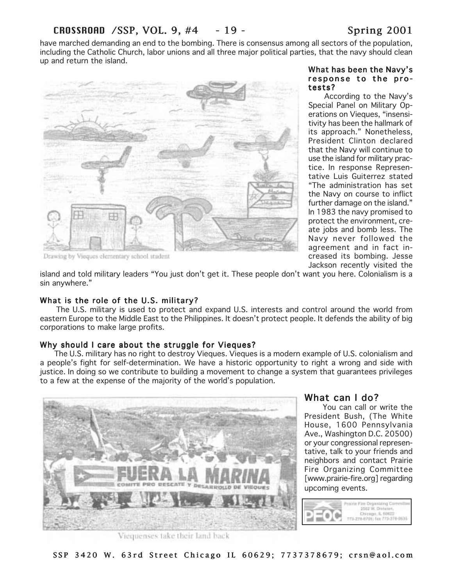have marched demanding an end to the bombing. There is consensus among all sectors of the population, including the Catholic Church, labor unions and all three major political parties, that the navy should clean up and return the isIand.



### What has been the Navy's response to the protests?

 According to the Navy's Special Panel on Military Operations on Vieques, "insensitivity has been the hallmark of its approach." Nonetheless, President Clinton declared that the Navy will continue to use the island for military practice. In response Representative Luis Guiterrez stated "The administration has set the Navy on course to inflict further damage on the island." In 1983 the navy promised to protect the environment, create jobs and bomb less. The Navy never followed the agreement and in fact increased its bombing. Jesse Jackson recently visited the

island and told military leaders "You just don't get it. These people don't want you here. Colonialism is a sin anywhere."

# What is the role of the U.S. military?

 The U.S. military is used to protect and expand U.S. interests and control around the world from eastern Europe to the Middle East to the Philippines. It doesn't protect people. It defends the ability of big corporations to make large profits.

# Why should I care about the struggle for Vieques?

 The U.S. military has no right to destroy Vieques. Vieques is a modern example of U.S. colonialism and a people's fight for self-determination. We have a historic opportunity to right a wrong and side with justice. In doing so we contribute to building a movement to change a system that guarantees privileges to a few at the expense of the majority of the world's population.



# What can I do?

 You can call or write the President Bush, (The White House, 1600 Pennsylvania Ave., Washington D.C. 20500) or your congressional representative, talk to your friends and neighbors and contact Prairie Fire Organizing Committee [www.prairie-fire.org] regarding upcoming events.



Viequenses take their land back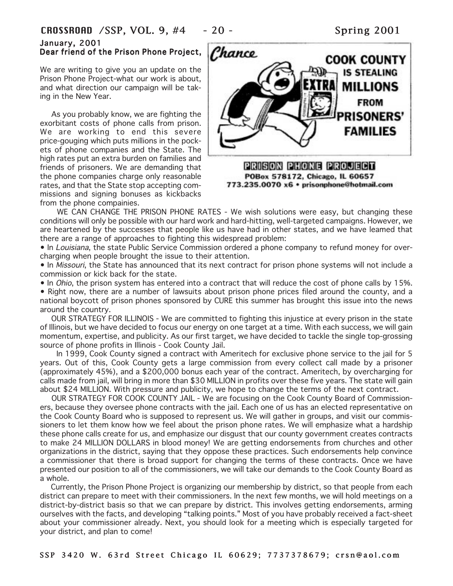# CROSSROAD /SSP, VOL. 9, #4 - 20 - Spring 2001

### January, 2001 Dear friend of the Prison Phone Project,

We are writing to give you an update on the Prison Phone Project-what our work is about, and what direction our campaign will be taking in the New Year.

 As you probably know, we are fighting the exorbitant costs of phone calls from prison. We are working to end this severe price-gouging which puts millions in the pockets of phone companies and the State. The high rates put an extra burden on families and friends of prisoners. We are demanding that the phone companies charge only reasonable rates, and that the State stop accepting commissions and signing bonuses as kickbacks from the phone compainies.



WE CAN CHANGE THE PRISON PHONE RATES - We wish solutions were easy, but changing these conditions will only be possible with our hard work and hard-hitting, well-targeted campaigns. However, we are heartened by the successes that people like us have had in other states, and we have leamed that there are a range of approaches to fighting this widespread problem:

• In Louisiana, the state Public Service Commission ordered a phone company to refund money for overcharging when people brought the issue to their attention.

• In Missouri, the State has announced that its next contract for prison phone systems will not include a commission or kick back for the state.

• In *Ohio*, the prison system has entered into a contract that will reduce the cost of phone calls by 15%.

• Right now, there are a number of lawsuits about prison phone prices filed around the county, and a national boycott of prison phones sponsored by CURE this summer has brought this issue into the news around the country.

 OUR STRATEGY FOR ILLINOIS - We are committed to fighting this injustice at every prison in the state of Illinois, but we have decided to focus our energy on one target at a time. With each success, we will gain momentum, expertise, and publicity. As our first target, we have decided to tackle the single top-grossing source of phone profits in Illinois - Cook County Jail.

 In 1999, Cook County signed a contract with Ameritech for exclusive phone service to the jail for 5 years. Out of this, Cook County gets a large commission from every collect call made by a prisoner (approximately 45%), and a \$200,000 bonus each year of the contract. Ameritech, by overcharging for calls made from jail, will bring in more than \$30 MILLION in profits over these five years. The state will gain about \$24 MILLION. With pressure and publicity, we hope to change the terms of the next contract.

 OUR STRATEGY FOR COOK COUNTY JAIL - We are focusing on the Cook County Board of Commissioners, because they oversee phone contracts with the jail. Each one of us has an elected representative on the Cook County Board who is supposed to represent us. We will gather in groups, and visit our commissioners to let them know how we feel about the prison phone rates. We will emphasize what a hardship these phone calls create for us, and emphasize our disgust that our county government creates contracts to make 24 MILLION DOLLARS in blood money! We are getting endorsements from churches and other organizations in the district, saying that they oppose these practices. Such endorsements help convince a commissioner that there is broad support for changing the terms of these contracts. Once we have presented our position to all of the commissioners, we will take our demands to the Cook County Board as a whole.

 Currently, the Prison Phone Project is organizing our membership by district, so that people from each district can prepare to meet with their commissioners. In the next few months, we will hold meetings on a district-by-district basis so that we can prepare by district. This involves getting endorsements, arming ourselves with the facts, and developing "talking points." Most of you have probably received a fact-sheet about your commissioner already. Next, you should look for a meeting which is especially targeted for your district, and plan to come!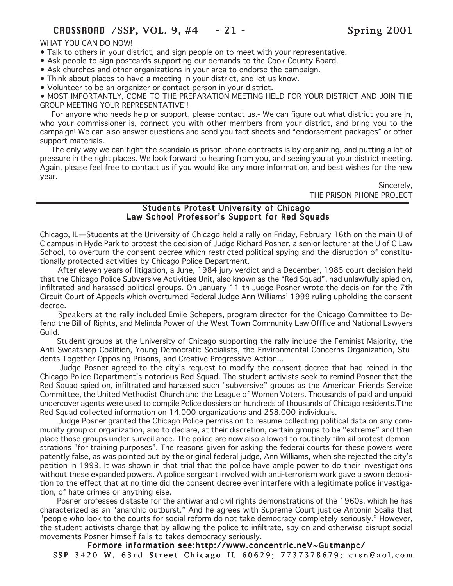### WHAT YOU CAN DO NOW!

- Talk to others in your district, and sign people on to meet with your representative.
- Ask people to sign postcards supporting our demands to the Cook County Board.
- Ask churches and other organizations in your area to endorse the campaign.
- Think about places to have a meeting in your district, and let us know.

• Volunteer to be an organizer or contact person in your district.

• MOST IMPORTANTLY, COME TO THE PREPARATION MEETING HELD FOR YOUR DISTRICT AND JOIN THE GROUP MEETING YOUR REPRESENTATIVE!!

 For anyone who needs help or support, please contact us.- We can figure out what district you are in, who your commissioner is, connect you with other members from your district, and bring you to the campaign! We can also answer questions and send you fact sheets and "endorsement packages" or other support materials.

 The only way we can fight the scandalous prison phone contracts is by organizing, and putting a lot of pressure in the right places. We look forward to hearing from you, and seeing you at your district meeting. Again, please feel free to contact us if you would like any more information, and best wishes for the new year.

> Sincerely, THE PRISON PHONE PROJECT

# Students Protest University of Chicago Law School Professor's Support for Red Squads

Chicago, IL—Students at the University of Chicago held a rally on Friday, February 16th on the main U of C campus in Hyde Park to protest the decision of Judge Richard Posner, a senior lecturer at the U of C Law School, to overturn the consent decree which restricted political spying and the disruption of constitutionally protected activities by Chicago Police Department.

 After eleven years of litigation, a June, 1984 jury verdict and a December, 1985 court decision held that the Chicago Police Subversive Activities Unit, also known as the "Red Squad", had unlawfully spied on, infiltrated and harassed political groups. On January 11 th Judge Posner wrote the decision for the 7th Circuit Court of Appeals which overturned Federal Judge Ann Williams' 1999 ruling upholding the consent decree.

 Speakers at the rally included Emile Schepers, program director for the Chicago Committee to Defend the Bill of Rights, and Melinda Power of the West Town Community Law Offfice and National Lawyers Guild.

 Student groups at the University of Chicago supporting the rally include the Feminist Majority, the Anti-Sweatshop Coalition, Young Democratic Socialists, the Environmental Concerns Organization, Students Together Opposing Prisons, and Creative Progressive Action...

 Judge Posner agreed to the city's request to modify the consent decree that had reined in the Chicago Police Department's notorious Red Squad. The student activists seek to remind Posner that the Red Squad spied on, infiltrated and harassed such "subversive" groups as the American Friends Service Committee, the United Methodist Church and the League of Women Voters. Thousands of paid and unpaid undercover agents were used to compile Police dossiers on hundreds of thousands of Chicago residents.Tthe Red Squad collected information on 14,000 organizations and 258,000 individuals.

 Judge Posner granted the Chicago Police permission to resume collecting political data on any community group or organization, and to declare, at their discretion, certain groups to be "extreme" and then place those groups under surveillance. The police are now also allowed to routinely film ail protest demonstrations "for training purposes". The reasons given for asking the federai courts for these powers were patently false, as was pointed out by the original federal judge, Ann Williams, when she rejected the city's petition in 1999. It was shown in that trial that the police have ample power to do their investigations without these expanded powers. A police sergeant involved with anti-terrorism work gave a sworn deposition to the effect that at no time did the consent decree ever interfere with a legitimate police investigation, of hate crimes or anything eise.

 Posner professes distaste for the antiwar and civil rights demonstrations of the 1960s, which he has characterized as an "anarchic outburst." And he agrees with Supreme Court justice Antonin Scalia that "people who look to the courts for social reform do not take democracy completely seriously." However, the student activists charge that by allowing the police to infiltrate, spy on and otherwise disrupt social movements Posner himself fails to takes democracy seriously.

SSP 3420 W. 63rd Street Chicago IL 60629; 7737378679; crsn@aol.com Formore information see:http://www.concentric.neV~Gutmanpc/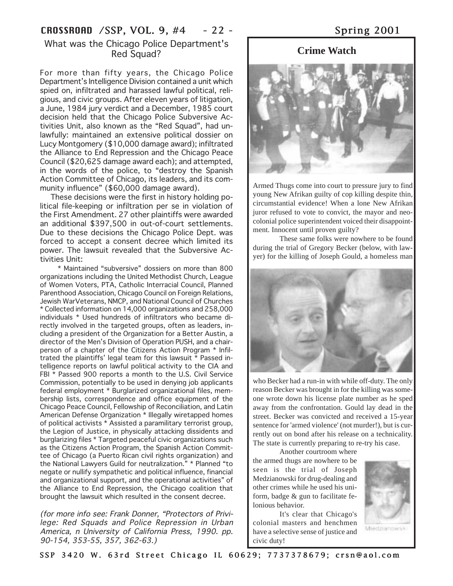# CROSSROAD /SSP, VOL. 9, #4 - 22 - Spring 2001

# What was the Chicago Police Department's Red Squad?

For more than fifty years, the Chicago Police Department's Intelligence Division contained a unit which spied on, infiltrated and harassed lawful political, religious, and civic groups. After eleven years of litigation, a June, 1984 jury verdict and a December, 1985 court decision held that the Chicago Police Subversive Activities Unit, also known as the "Red Squad", had unlawfully: maintained an extensive political dossier on Lucy Montgomery (\$10,000 damage award); infiltrated the Alliance to End Repression and the Chicago Peace Council (\$20,625 damage award each); and attempted, in the words of the police, to "destroy the Spanish Action Committee of Chicago, its leaders, and its community influence" (\$60,000 damage award).

 These decisions were the first in history holding political file-keeping or infiltration per se in violation of the First Amendment. 27 other plaintiffs were awarded an additional \$397,500 in out-of-court settlements. Due to these decisions the Chicago Police Dept. was forced to accept a consent decree which limited its power. The lawsuit revealed that the Subversive Activities Unit:

 \* Maintained "subversive" dossiers on more than 800 organizations including the United Methodist Church, League of Women Voters, PTA, Catholic Interracial Council, Planned Parenthood Association, Chicago Council on Foreign Relations, Jewish WarVeterans, NMCP, and National Council of Churches \* Collected information on 14,000 organizations and 258,000 individuals \* Used hundreds of infiltrators who became directly involved in the targeted groups, often as leaders, including a president of the Organization for a Better Austin, a director of the Men's Division of Operation PUSH, and a chairperson of a chapter of the Citizens Action Program \* Infiltrated the plaintiffs' legal team for this lawsuit \* Passed intelligence reports on lawful political activity to the CIA and FBI \* Passed 900 reports a month to the U.S. Civil Service Commission, potentially to be used in denying job applicants federal employment \* Burglarized organizational files, membership lists, correspondence and office equipment of the Chicago Peace Council, Fellowship of Reconciliation, and Latin American Defense Organization \* Illegally wiretapped homes of political activists \* Assisted a paramilitary terrorist group, the Legion of Justice, in physically attacking dissidents and burglarizing files \* Targeted peaceful civic organizations such as the Citizens Action Program, the Spanish Action Committee of Chicago (a Puerto Rican civil rights organization) and the National Lawyers Guild for neutralization." \* Planned "to negate or nullify sympathetic and political influence, financial and organizational support, and the operational activities" of the Alliance to End Repression, the Chicago coalition that brought the lawsuit which resulted in the consent decree.

(for more info see: Frank Donner, "Protectors of Privilege: Red Squads and Police Repression in Urban America, n University of California Press, 1990. pp. 90-154, 353-55, 357, 362-63.)

# **Crime Watch**



Armed Thugs come into court to pressure jury to find young New Afrikan guilty of cop killing despite thin, circumstantial evidence! When a lone New Afrikan juror refused to vote to convict, the mayor and neocolonial police superintendent voiced their disappointment. Innocent until proven guilty?

These same folks were nowhere to be found during the trial of Gregory Becker (below, with lawyer) for the killing of Joseph Gould, a homeless man



who Becker had a run-in with while off-duty. The only reason Becker was brought in for the killing was someone wrote down his license plate number as he sped away from the confrontation. Gould lay dead in the street. Becker was convicted and received a 15-year sentence for 'armed violence' (not murder!), but is currently out on bond after his release on a technicality. The state is currently preparing to re-try his case.

Another courtroom where the armed thugs are nowhere to be seen is the trial of Joseph Medzianowski for drug-dealing and other crimes while he used his uniform, badge & gun to facilitate felonious behavior.

It's clear that Chicago's colonial masters and henchmen have a selective sense of justice and civic duty!